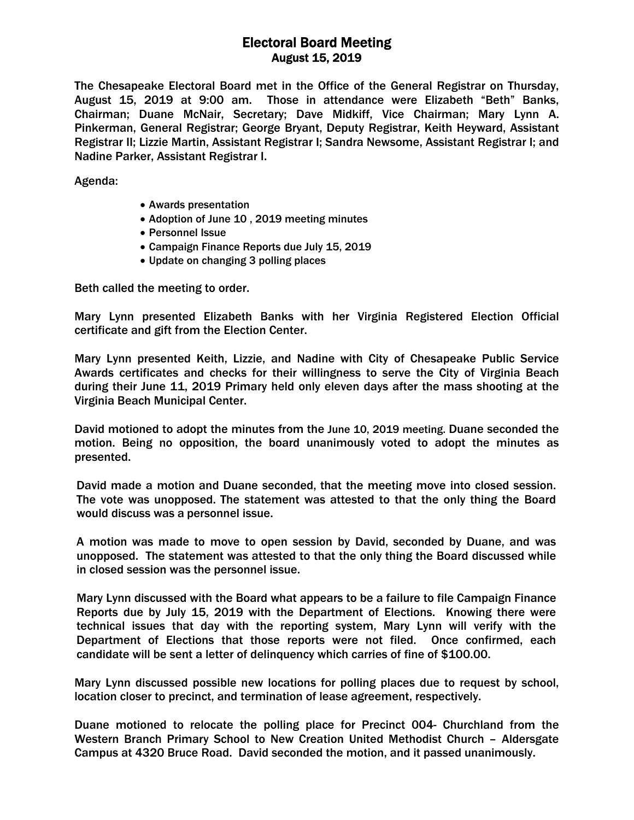## Electoral Board Meeting August 15, 2019

The Chesapeake Electoral Board met in the Office of the General Registrar on Thursday, August 15, 2019 at 9:00 am. Those in attendance were Elizabeth "Beth" Banks, Chairman; Duane McNair, Secretary; Dave Midkiff, Vice Chairman; Mary Lynn A. Pinkerman, General Registrar; George Bryant, Deputy Registrar, Keith Heyward, Assistant Registrar II; Lizzie Martin, Assistant Registrar I; Sandra Newsome, Assistant Registrar I; and Nadine Parker, Assistant Registrar I.

Agenda:

- Awards presentation
- Adoption of June 10, 2019 meeting minutes
- Personnel Issue
- Campaign Finance Reports due July 15, 2019
- Update on changing 3 polling places

Beth called the meeting to order.

Mary Lynn presented Elizabeth Banks with her Virginia Registered Election Official certificate and gift from the Election Center.

Mary Lynn presented Keith, Lizzie, and Nadine with City of Chesapeake Public Service Awards certificates and checks for their willingness to serve the City of Virginia Beach during their June 11, 2019 Primary held only eleven days after the mass shooting at the Virginia Beach Municipal Center.

David motioned to adopt the minutes from the June 10, 2019 meeting. Duane seconded the motion. Being no opposition, the board unanimously voted to adopt the minutes as presented.

David made a motion and Duane seconded, that the meeting move into closed session. The vote was unopposed. The statement was attested to that the only thing the Board would discuss was a personnel issue.

A motion was made to move to open session by David, seconded by Duane, and was unopposed. The statement was attested to that the only thing the Board discussed while in closed session was the personnel issue.

Mary Lynn discussed with the Board what appears to be a failure to file Campaign Finance Reports due by July 15, 2019 with the Department of Elections. Knowing there were technical issues that day with the reporting system, Mary Lynn will verify with the Department of Elections that those reports were not filed. Once confirmed, each candidate will be sent a letter of delinquency which carries of fine of \$100.00.

Mary Lynn discussed possible new locations for polling places due to request by school, location closer to precinct, and termination of lease agreement, respectively.

Duane motioned to relocate the polling place for Precinct 004- Churchland from the Western Branch Primary School to New Creation United Methodist Church – Aldersgate Campus at 4320 Bruce Road. David seconded the motion, and it passed unanimously.